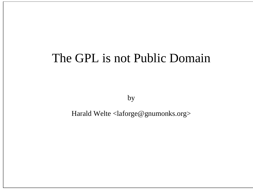## The GPL is not Public Domain

by

Harald Welte <laforge@gnumonks.org>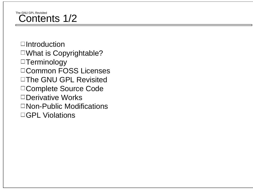#### The GNU GPL RevisitedContents 1/2

 $\Box$ Introduction What is Copyrightable? □Terminology Common FOSS Licenses □The GNU GPL Revisited Complete Source Code □Derivative Works □ Non-Public Modifications □GPL Violations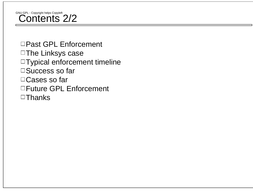# GNU GPL - Copyright helps Copyleft 2/2

□Past GPL Enforcement □The Linksys case Typical enforcement timeline □Success so far □ Cases so far □Future GPL Enforcement  $\Box$ Thanks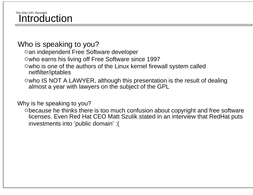#### The GNU GPL RevisitedIntroduction

#### Who is speaking to you?

Oan independent Free Software developer

Owho earns his living off Free Software since 1997

who is one of the authors of the Linux kernel firewall system called netfilter/iptables

 $\circ$  who IS NOT A LAWYER, although this presentation is the result of dealing almost a year with lawyers on the subject of the GPL

Why is he speaking to you?

because he thinks there is too much confusion about copyright and free software licenses. Even Red Hat CEO Matt Szulik stated in an interview that RedHat puts investments into 'public domain' :(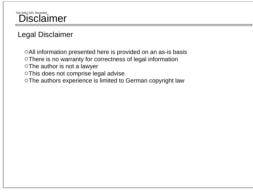## The GNU GPL Revisited<br>Disclaimer

## Legal Disclaimer

All information presented here is provided on an as-is basis There is no warranty for correctness of legal information o The author is not a lawyer This does not comprise legal advise The authors experience is limited to German copyright law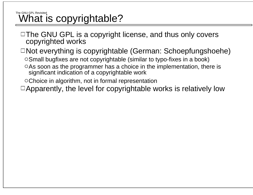#### The GNU GPL RevisitedWhat is copyrightable?

 $\Box$  The GNU GPL is a copyright license, and thus only covers copyrighted works

 $\Box$ Not everything is copyrightable (German: Schoepfungshoehe)

Small bugfixes are not copyrightable (similar to typo-fixes in a book)

As soon as the programmer has a choice in the implementation, there is significant indication of a copyrightable work

Choice in algorithm, not in formal representation

 $\Box$  Apparently, the level for copyrightable works is relatively low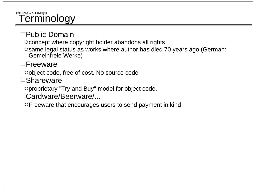#### The GNU GPL RevisitedTerminology

### □Public Domain

o concept where copyright holder abandons all rights

Osame legal status as works where author has died 70 years ago (German: Gemeinfreie Werke)

### $\Box$ Freeware

object code, free of cost. No source code

□Shareware

proprietary "Try and Buy" model for object code.

□Cardware/Beerware/...

Freeware that encourages users to send payment in kind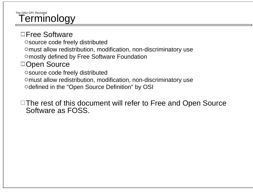#### The GNU GPL RevisitedTerminology

#### □Free Software

source code freely distributed

omust allow redistribution, modification, non-discriminatory use

mostly defined by Free Software Foundation

### □Open Source

source code freely distributed

omust allow redistribution, modification, non-discriminatory use

Odefined in the "Open Source Definition" by OSI

 $\Box$  The rest of this document will refer to Free and Open Source Software as FOSS.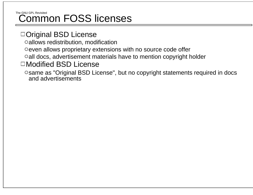#### The GNU GPL RevisitedCommon FOSS licenses

### □Original BSD License

allows redistribution, modification

Oeven allows proprietary extensions with no source code offer

all docs, advertisement materials have to mention copyright holder

### □Modified BSD License

Osame as "Original BSD License", but no copyright statements required in docs and advertisements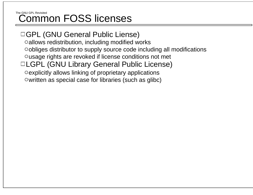#### The GNU GPL RevisitedCommon FOSS licenses

## □GPL (GNU General Public Liense)

allows redistribution, including modified works

obliges distributor to supply source code including all modifications

Ousage rights are revoked if license conditions not met

### □LGPL (GNU Library General Public License)

explicitly allows linking of proprietary applications Owritten as special case for libraries (such as glibc)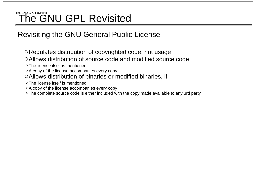#### The GNU GPL RevisitedThe GNU GPL Revisited

### Revisiting the GNU General Public License

- Regulates distribution of copyrighted code, not usage
- Allows distribution of source code and modified source code
- The license itself is mentioned
- $\triangleright$  A copy of the license accompanies every copy
- Allows distribution of binaries or modified binaries, if
- $\triangleright$  The license itself is mentioned
- $\triangleright$  A copy of the license accompanies every copy
- $\triangleright$  The complete source code is either included with the copy made available to any 3rd party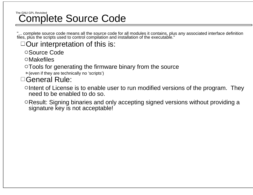#### The GNU GPL RevisitedComplete Source Code

"... complete source code means all the source code for all modules it contains, plus any associated interface definition files, plus the scripts used to control compilation and installation of the executable."

 $\Box$  Our interpretation of this is:

Source Code

Makefiles

Tools for generating the firmware binary from the source

 $\triangleright$  (even if they are technically no 'scripts')

### General Rule:

 $\circ$  Intent of License is to enable user to run modified versions of the program. They need to be enabled to do so.

Result: Signing binaries and only accepting signed versions without providing a signature key is not acceptable!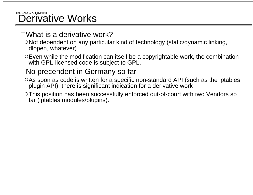#### The GNU GPL Revisited Derivative Works

### $\Box$ What is a derivative work?

- Not dependent on any particular kind of technology (static/dynamic linking, dlopen, whatever)
- $\circ$  Even while the modification can itself be a copyrightable work, the combination with GPL-licensed code is subject to GPL.

## $\Box$ No precendent in Germany so far

- As soon as code is written for a specific non-standard API (such as the iptables plugin API), there is significant indication for a derivative work
- This position has been successfully enforced out-of-court with two Vendors so far (iptables modules/plugins).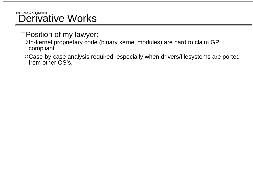# The GNU GPL Revisited<br>Derivative Works

- □Position of my lawyer:
	- In-kernel proprietary code (binary kernel modules) are hard to claim GPL compliant
	- Case-by-case analysis required, especially when drivers/filesystems are ported from other OS's.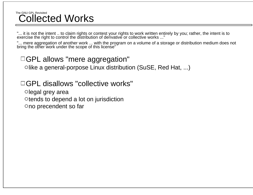#### The GNU GPL RevisitedCollected Works

"... it is not the intent .. to claim rights or contest your rights to work written entirely by you; rather, the intent is to exercise the right to control the distribution of derivative or collective works ..."

"... mere aggregation of another work ... with the program on a volume of a storage or distribution medium does not<br>bring the other work under the scope of this license"

### □GPL allows "mere aggregation"

 $\circ$ like a general-porpose Linux distribution (SuSE, Red Hat, ...)

### □GPL disallows "collective works"

 $\circ$ legal grey area  $\circ$  tends to depend a lot on jurisdiction ono precendent so far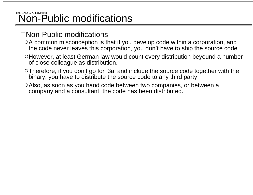#### The GNU GPL RevisitedNon-Public modifications

#### Non-Public modifications

- o A common misconception is that if you develop code within a corporation, and the code never leaves this corporation, you don't have to ship the source code.
- However, at least German law would count every distribution beyound a number of close colleague as distribution.
- Therefore, if you don't go for '3a' and include the source code together with the binary, you have to distribute the source code to any third party.
- Also, as soon as you hand code between two companies, or between a company and a consultant, the code has been distributed.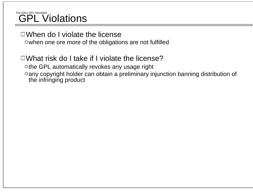#### The GNU GPL RevisitedGPL Violations

#### $\Box$ When do I violate the license

owhen one ore more of the obligations are not fulfilled

## $\Box$ What risk do I take if I violate the license?

othe GPL automatically revokes any usage right any copyright holder can obtain a preliminary injunction banning distribution of the infringing product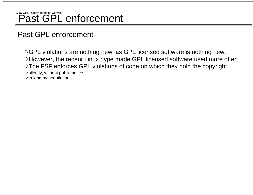## GNU GPL - Copyright helps Copyleft **Past GPL** enforcement

### Past GPL enforcement

GPL violations are nothing new, as GPL licensed software is nothing new. However, the recent Linux hype made GPL licensed software used more often The FSF enforces GPL violations of code on which they hold the copyright  $\triangleright$  silently, without public notice  $\triangleright$  in lengthy negotiations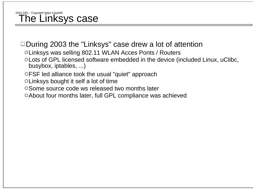## GNU GPL - Copyright helps Copyleft **The Linksys case**

### $\Box$ During 2003 the "Linksys" case drew a lot of attention

- Linksys was selling 802.11 WLAN Acces Ponts / Routers
- Lots of GPL licensed software embedded in the device (included Linux, uClibc, busybox, iptables, ...)
- FSF led alliance took the usual "quiet" approach
- Linksys bought it self a lot of time
- O Some source code ws released two months later
- About four months later, full GPL compliance was achieved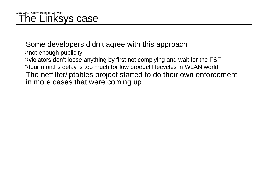## GNU GPL - Copyright helps Copyleft Quart Copyleft

### $\Box$  Some developers didn't agree with this approach

onot enough publicity

 $\circ$  violators don't loose anything by first not complying and wait for the FSF four months delay is too much for low product lifecycles in WLAN world

 $\Box$  The netfilter/iptables project started to do their own enforcement in more cases that were coming up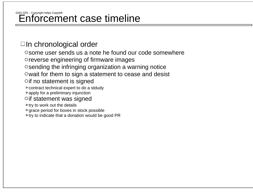## GNU GPL - Copyright helps Copyleft **Enforcement case timeline**

### $\Box$ In chronological order

Osome user sends us a note he found our code somewhere Oreverse engineering of firmware images  $\circ$  sending the infringing organization a warning notice  $\circ$  wait for them to sign a statement to cease and desist Oif no statement is signed contract technical expert to do a stdudy  $\triangleright$  apply for a preliminary injunction Oif statement was signed  $\triangleright$  try to work out the details  $\triangleright$  grace period for boxes in stock possible

 $\triangleright$  try to indicate that a donation would be good PR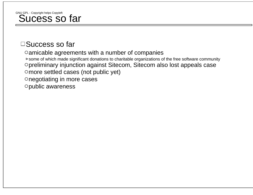## GNU GPL - Copyright helps Copyleft **Sucharge Super**

### $\square$ Success so far

amicable agreements with a number of companies some of which made significant donations to charitable organizations of the free software community preliminary injunction against Sitecom, Sitecom also lost appeals case more settled cases (not public yet) onegotiating in more cases public awareness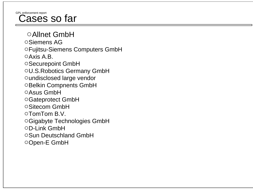## GPL enforcement report<br>**Cases so far**

Allnet GmbHSiemens AGFujitsu-Siemens Computers GmbH  $\circ$ Axis A.B. Securepoint GmbH U.S.Robotics Germany GmbH undisclosed large vendor OBelkin Compnents GmbH Asus GmbHGateprotect GmbH Sitecom GmbHTomTom B.V.Gigabyte Technologies GmbH D-Link GmbH○Sun Deutschland GmbH Open-E GmbH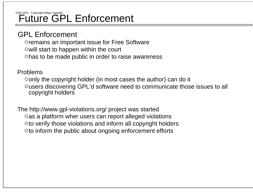## GNU GPL - Copyright helps Copyleft **Future GPL** Enforcement

#### GPL Enforcement

Oremains an important issue for Free Software  $\circ$  will start to happen within the court has to be made public in order to raise awareness

#### Problems

only the copyright holder (in most cases the author) can do it users discovering GPL'd software need to communicate those issues to all copyright holders

 The http://www.gpl-violations.org/ project was started  $\circ$  as a platform wher users can report alleged violations oto verify those violations and inform all copyright holders  $\circ$  to inform the public about ongoing enforcement efforts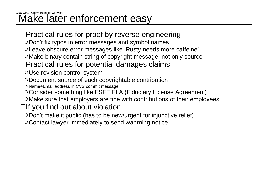# GNU GPL - Copyright helps Copyleft **Copyleft** and Duncement easy

- $\Box$ Practical rules for proof by reverse engineering
	- Don't fix typos in error messages and symbol names
	- Leave obscure error messages like 'Rusty needs more caffeine'
	- Make binary contain string of copyright message, not only source

### $\Box$ Practical rules for potential damages claims

- Use revision control system
- Document source of each copyrightable contribution
- Name+Email address in CVS commit message
- Consider something like FSFE FLA (Fiduciary License Agreement)
- Make sure that employers are fine with contributions of their employees

## $\Box$  If you find out about violation

- Don't make it public (has to be new/urgent for injunctive relief)
- Contact lawyer immediately to send wanrning notice